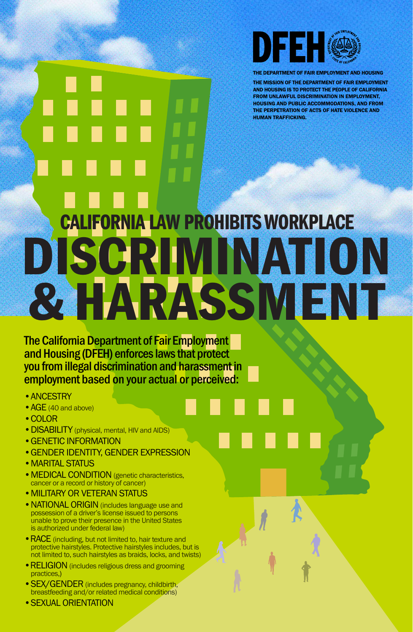

THE DEPARTMENT OF FAIR EMPLOYMENT AND HOUSING

THE MISSION OF THE DEPARTMENT OF FAIR EMPLOYMENT AND HOUSING IS TO PROTECT THE PEOPLE OF CALIFORNIA FROM UNLAWFUL DISCRIMINATION IN EMPLOYMENT, HOUSING AND PUBLIC ACCOMMODATIONS, AND FROM THE PERPETRATION OF ACTS OF HATE VIOLENCE AND HUMAN TRAFFICKING.

# CALIFORNIA LAW PROHIBITS WORKPLACE DISCRIMINATION & HARASSMENT

The California Department of Fair Employment and Housing (DFEH) enforces laws that protect you from illegal discrimination and harassment in employment based on your actual or perceived:

- •ANCESTRY
- AGE (40 and above)
- •COLOR
- DISABILITY (physical, mental, HIV and AIDS)
- •GENETIC INFORMATION
- •GENDER IDENTITY, GENDER EXPRESSION

- MEDICAL CONDITION (genetic characteristics, cancer or a record or history of cancer)
- •MILITARY OR VETERAN STATUS
- NATIONAL ORIGIN (includes language use and possession of a driver's license issued to persons unable to prove their presence in the United States is authorized under federal law)
- RACE (including, but not limited to, hair texture and protective hairstyles. Protective hairstyles includes, but is not limited to, such hairstyles as braids, locks, and twists)
- RELIGION (includes religious dress and grooming practices,)
- SEX/GENDER (includes pregnancy, childbirth, breastfeeding and/or related medical conditions)
- SEXUAL ORIENTATION

#### •MARITAL STATUS